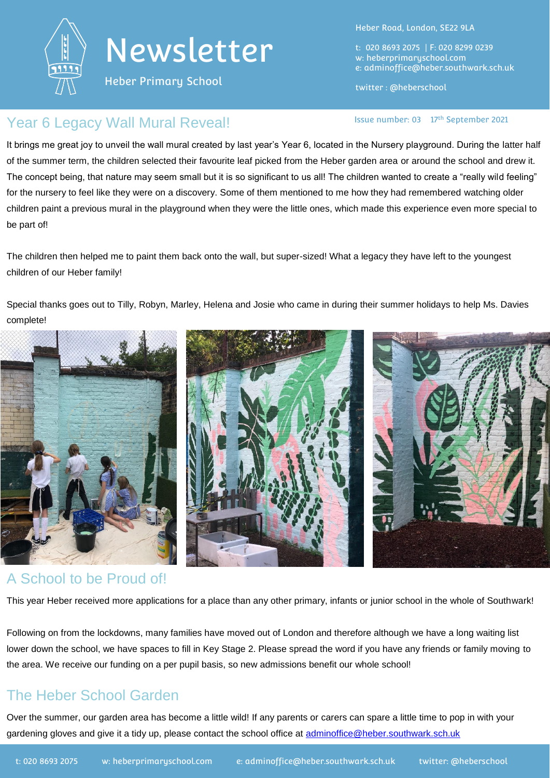

Heber Primary School

Heber Road, London, SE22 9LA

t: 020 8693 2075 | F: 020 8299 0239 w: heberprimaryschool.com e: [adminoffice@heber.southwark.sch.uk](mailto:adminoffice@heber.southwark.sch.uk)

twitter : @heberschool

### Year 6 Legacy Wall Mural Reveal! **In the Communist Communist** Issue number: 03 17<sup>th</sup> September 2021

It brings me great joy to unveil the wall mural created by last year's Year 6, located in the Nursery playground. During the latter half of the summer term, the children selected their favourite leaf picked from the Heber garden area or around the school and drew it. The concept being, that nature may seem small but it is so significant to us all! The children wanted to create a "really wild feeling" for the nursery to feel like they were on a discovery. Some of them mentioned to me how they had remembered watching older children paint a previous mural in the playground when they were the little ones, which made this experience even more special to be part of!

The children then helped me to paint them back onto the wall, but super-sized! What a legacy they have left to the youngest children of our Heber family!

Special thanks goes out to Tilly, Robyn, Marley, Helena and Josie who came in during their summer holidays to help Ms. Davies complete!



### A School to be Proud of!

This year Heber received more applications for a place than any other primary, infants or junior school in the whole of Southwark!

Following on from the lockdowns, many families have moved out of London and therefore although we have a long waiting list lower down the school, we have spaces to fill in Key Stage 2. Please spread the word if you have any friends or family moving to the area. We receive our funding on a per pupil basis, so new admissions benefit our whole school!

# The Heber School Garden

Over the summer, our garden area has become a little wild! If any parents or carers can spare a little time to pop in with your gardening gloves and give it a tidy up, please contact the school office at [adminoffice@heber.southwark.sch.uk](mailto:adminoffice@heber.southwark.sch.uk)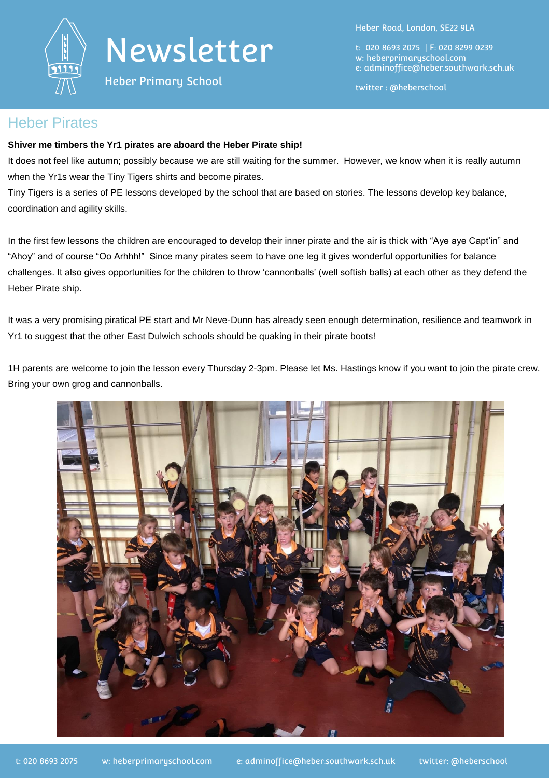

Heber Primary School

Heber Road, London, SE22 9LA

t: 020 8693 2075 | F: 020 8299 0239 w: heberprimaryschool.com e: [adminoffice@heber.southwark.sch.uk](mailto:adminoffice@heber.southwark.sch.uk)

twitter : @heberschool

#### Heber Pirates

#### **Shiver me timbers the Yr1 pirates are aboard the Heber Pirate ship!**

It does not feel like autumn; possibly because we are still waiting for the summer. However, we know when it is really autumn when the Yr1s wear the Tiny Tigers shirts and become pirates.

Tiny Tigers is a series of PE lessons developed by the school that are based on stories. The lessons develop key balance, coordination and agility skills.

In the first few lessons the children are encouraged to develop their inner pirate and the air is thick with "Aye aye Capt'in" and "Ahoy" and of course "Oo Arhhh!" Since many pirates seem to have one leg it gives wonderful opportunities for balance challenges. It also gives opportunities for the children to throw 'cannonballs' (well softish balls) at each other as they defend the Heber Pirate ship.

It was a very promising piratical PE start and Mr Neve-Dunn has already seen enough determination, resilience and teamwork in Yr1 to suggest that the other East Dulwich schools should be quaking in their pirate boots!

1H parents are welcome to join the lesson every Thursday 2-3pm. Please let Ms. Hastings know if you want to join the pirate crew. Bring your own grog and cannonballs.

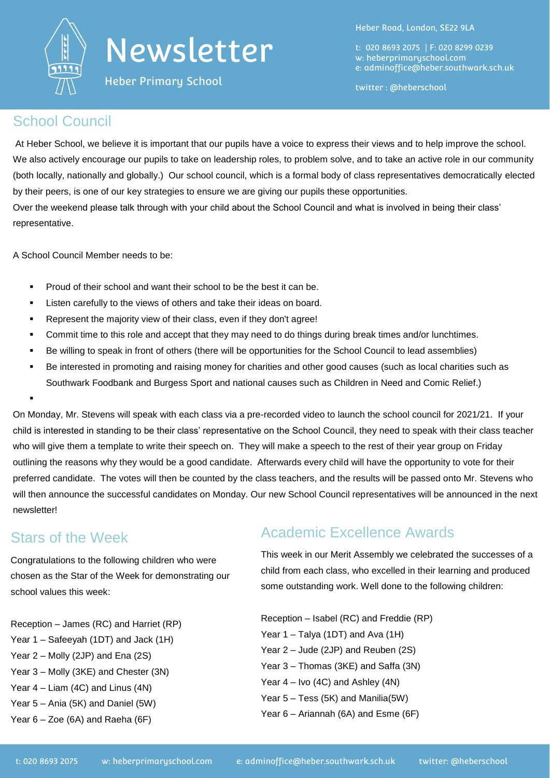

Heber Primary School

Heber Road, London, SE22 9LA

t: 020 8693 2075 | F: 020 8299 0239 w: heberprimaryschool.com e: [adminoffice@heber.southwark.sch.uk](mailto:adminoffice@heber.southwark.sch.uk)

twitter : @heberschool

### School Council

At Heber School, we believe it is important that our pupils have a voice to express their views and to help improve the school. We also actively encourage our pupils to take on leadership roles, to problem solve, and to take an active role in our community (both locally, nationally and globally.) Our school council, which is a formal body of class representatives democratically elected by their peers, is one of our key strategies to ensure we are giving our pupils these opportunities.

Over the weekend please talk through with your child about the School Council and what is involved in being their class' representative.

A School Council Member needs to be:

- Proud of their school and want their school to be the best it can be.
- Listen carefully to the views of others and take their ideas on board.
- Represent the majority view of their class, even if they don't agree!
- Commit time to this role and accept that they may need to do things during break times and/or lunchtimes.
- Be willing to speak in front of others (there will be opportunities for the School Council to lead assemblies)
- Be interested in promoting and raising money for charities and other good causes (such as local charities such as Southwark Foodbank and Burgess Sport and national causes such as Children in Need and Comic Relief.)

On Monday, Mr. Stevens will speak with each class via a pre-recorded video to launch the school council for 2021/21. If your child is interested in standing to be their class' representative on the School Council, they need to speak with their class teacher who will give them a template to write their speech on. They will make a speech to the rest of their year group on Friday outlining the reasons why they would be a good candidate. Afterwards every child will have the opportunity to vote for their preferred candidate. The votes will then be counted by the class teachers, and the results will be passed onto Mr. Stevens who will then announce the successful candidates on Monday. Our new School Council representatives will be announced in the next newsletter!

## Stars of the Week

:

Congratulations to the following children who were chosen as the Star of the Week for demonstrating our school values this week:

Reception – James (RC) and Harriet (RP) Year 1 – Safeeyah (1DT) and Jack (1H) Year 2 – Molly (2JP) and Ena (2S) Year 3 – Molly (3KE) and Chester (3N) Year 4 – Liam (4C) and Linus (4N) Year 5 – Ania (5K) and Daniel (5W) Year 6 – Zoe (6A) and Raeha (6F)

# Academic Excellence Awards

This week in our Merit Assembly we celebrated the successes of a child from each class, who excelled in their learning and produced some outstanding work. Well done to the following children:

Reception – Isabel (RC) and Freddie (RP) Year 1 – Talya (1DT) and Ava (1H) Year 2 – Jude (2JP) and Reuben (2S) Year 3 – Thomas (3KE) and Saffa (3N) Year 4 – Ivo (4C) and Ashley (4N) Year 5 – Tess (5K) and Manilia(5W) Year 6 – Ariannah (6A) and Esme (6F)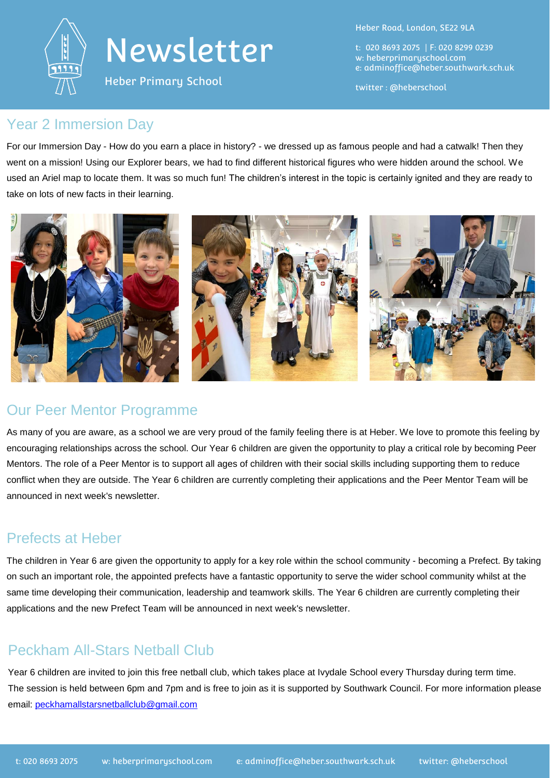

Heber Primary School

Heber Road, London, SE22 9LA

t: 020 8693 2075 | F: 020 8299 0239 w: heberprimaryschool.com e: [adminoffice@heber.southwark.sch.uk](mailto:adminoffice@heber.southwark.sch.uk)

twitter : @heberschool

#### Year 2 Immersion Day

For our Immersion Day - How do you earn a place in history? - we dressed up as famous people and had a catwalk! Then they went on a mission! Using our Explorer bears, we had to find different historical figures who were hidden around the school. We used an Ariel map to locate them. It was so much fun! The children's interest in the topic is certainly ignited and they are ready to take on lots of new facts in their learning.



### Our Peer Mentor Programme

As many of you are aware, as a school we are very proud of the family feeling there is at Heber. We love to promote this feeling by encouraging relationships across the school. Our Year 6 children are given the opportunity to play a critical role by becoming Peer Mentors. The role of a Peer Mentor is to support all ages of children with their social skills including supporting them to reduce conflict when they are outside. The Year 6 children are currently completing their applications and the Peer Mentor Team will be announced in next week's newsletter.

### Prefects at Heber

The children in Year 6 are given the opportunity to apply for a key role within the school community - becoming a Prefect. By taking on such an important role, the appointed prefects have a fantastic opportunity to serve the wider school community whilst at the same time developing their communication, leadership and teamwork skills. The Year 6 children are currently completing their applications and the new Prefect Team will be announced in next week's newsletter.

## Peckham All-Stars Netball Club

Year 6 children are invited to join this free netball club, which takes place at Ivydale School every Thursday during term time. The session is held between 6pm and 7pm and is free to join as it is supported by Southwark Council. For more information please email: [peckhamallstarsnetballclub@gmail.com](mailto:peckhamallstarsnetballclub@gmail.com)